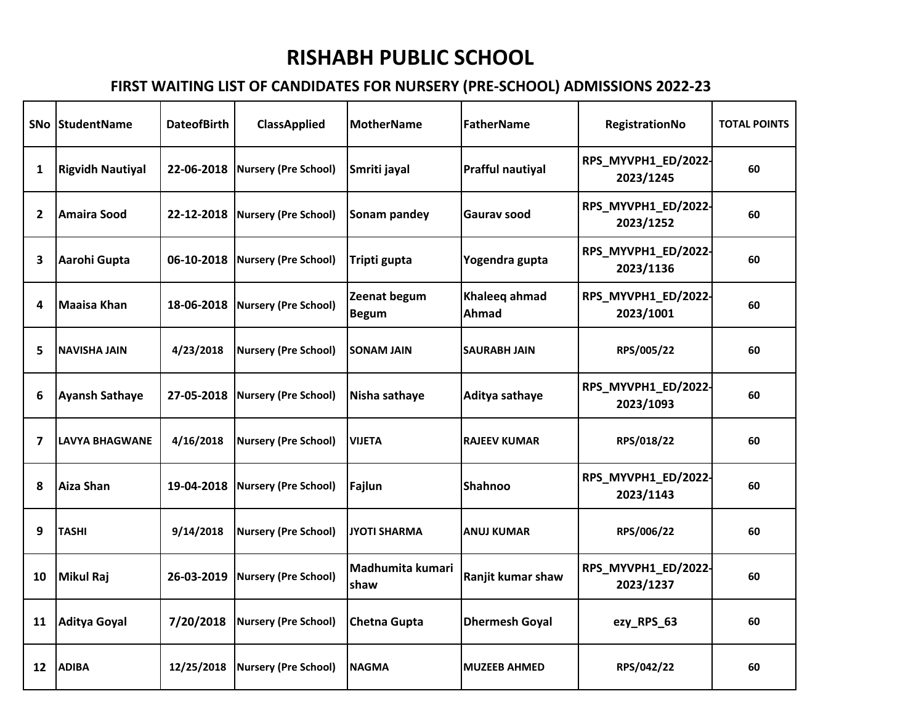## RISHABH PUBLIC SCHOOL

## FIRST WAITING LIST OF CANDIDATES FOR NURSERY (PRE-SCHOOL) ADMISSIONS 2022-23

|                | SNo StudentName         | <b>DateofBirth</b> | <b>ClassApplied</b>         | <b>MotherName</b>               | FatherName              | RegistrationNo                   | <b>TOTAL POINTS</b> |
|----------------|-------------------------|--------------------|-----------------------------|---------------------------------|-------------------------|----------------------------------|---------------------|
| 1              | <b>Rigvidh Nautiyal</b> | 22-06-2018         | <b>Nursery (Pre School)</b> | Smriti jayal                    | <b>Prafful nautiyal</b> | RPS_MYVPH1_ED/2022-<br>2023/1245 | 60                  |
| $\overline{2}$ | <b>Amaira Sood</b>      | 22-12-2018         | <b>Nursery (Pre School)</b> | Sonam pandey                    | <b>Gaurav sood</b>      | RPS_MYVPH1_ED/2022-<br>2023/1252 | 60                  |
| 3              | Aarohi Gupta            | 06-10-2018         | <b>Nursery (Pre School)</b> | Tripti gupta                    | Yogendra gupta          | RPS_MYVPH1_ED/2022-<br>2023/1136 | 60                  |
| 4              | Maaisa Khan             | 18-06-2018         | Nursery (Pre School)        | Zeenat begum<br><b>Begum</b>    | Khaleeq ahmad<br>Ahmad  | RPS_MYVPH1_ED/2022-<br>2023/1001 | 60                  |
| 5              | <b>NAVISHA JAIN</b>     | 4/23/2018          | <b>Nursery (Pre School)</b> | <b>SONAM JAIN</b>               | <b>SAURABH JAIN</b>     | RPS/005/22                       | 60                  |
| 6              | <b>Ayansh Sathaye</b>   | 27-05-2018         | <b>Nursery (Pre School)</b> | Nisha sathaye                   | Aditya sathaye          | RPS_MYVPH1_ED/2022-<br>2023/1093 | 60                  |
| 7              | LAVYA BHAGWANE          | 4/16/2018          | <b>Nursery (Pre School)</b> | <b>VIJETA</b>                   | <b>RAJEEV KUMAR</b>     | RPS/018/22                       | 60                  |
| 8              | <b>Aiza Shan</b>        | 19-04-2018         | <b>Nursery (Pre School)</b> | Fajlun                          | <b>Shahnoo</b>          | RPS_MYVPH1_ED/2022-<br>2023/1143 | 60                  |
| 9              | <b>TASHI</b>            | 9/14/2018          | <b>Nursery (Pre School)</b> | <b>JYOTI SHARMA</b>             | <b>ANUJ KUMAR</b>       | RPS/006/22                       | 60                  |
| 10             | <b>Mikul Raj</b>        | 26-03-2019         | <b>Nursery (Pre School)</b> | Madhumita kumari<br><b>shaw</b> | Ranjit kumar shaw       | RPS_MYVPH1_ED/2022-<br>2023/1237 | 60                  |
| 11             | Aditya Goyal            | 7/20/2018          | <b>Nursery (Pre School)</b> | <b>Chetna Gupta</b>             | <b>Dhermesh Goyal</b>   | ezy_RPS_63                       | 60                  |
| 12             | <b>ADIBA</b>            | 12/25/2018         | <b>Nursery (Pre School)</b> | <b>NAGMA</b>                    | <b>MUZEEB AHMED</b>     | RPS/042/22                       | 60                  |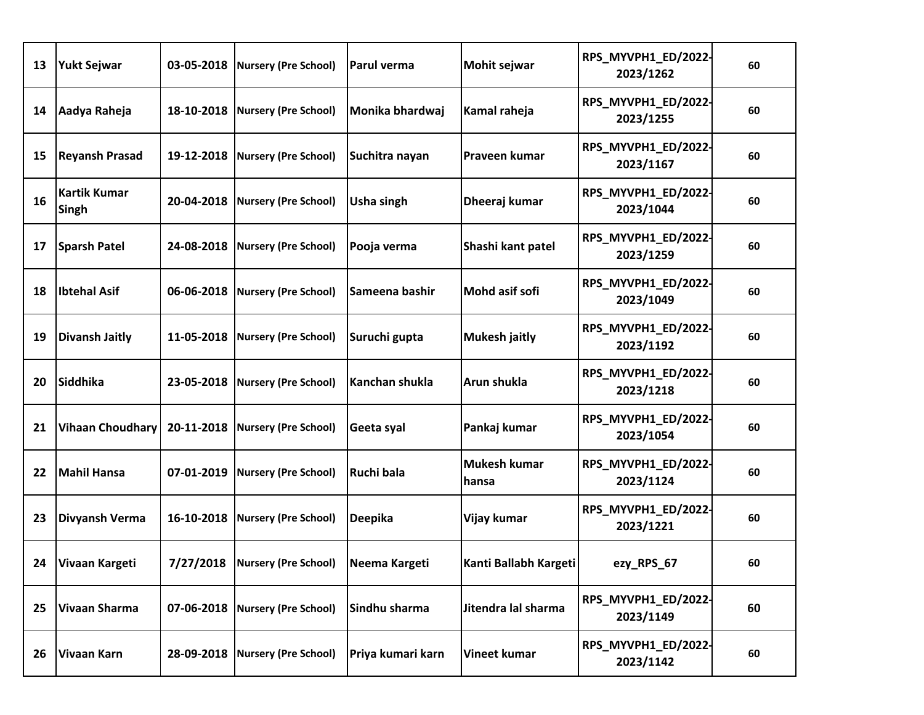| 13 | <b>Yukt Sejwar</b>                  | 03-05-2018 | <b>Nursery (Pre School)</b> | Parul verma       | Mohit sejwar          | RPS_MYVPH1_ED/2022-<br>2023/1262 | 60 |
|----|-------------------------------------|------------|-----------------------------|-------------------|-----------------------|----------------------------------|----|
| 14 | Aadya Raheja                        | 18-10-2018 | Nursery (Pre School)        | Monika bhardwaj   | Kamal raheja          | RPS_MYVPH1_ED/2022-<br>2023/1255 | 60 |
| 15 | <b>Reyansh Prasad</b>               | 19-12-2018 | Nursery (Pre School)        | Suchitra nayan    | Praveen kumar         | RPS_MYVPH1_ED/2022-<br>2023/1167 | 60 |
| 16 | <b>Kartik Kumar</b><br><b>Singh</b> | 20-04-2018 | <b>Nursery (Pre School)</b> | Usha singh        | Dheeraj kumar         | RPS_MYVPH1_ED/2022-<br>2023/1044 | 60 |
| 17 | <b>Sparsh Patel</b>                 | 24-08-2018 | <b>Nursery (Pre School)</b> | Pooja verma       | Shashi kant patel     | RPS_MYVPH1_ED/2022-<br>2023/1259 | 60 |
| 18 | <b>Ibtehal Asif</b>                 | 06-06-2018 | Nursery (Pre School)        | Sameena bashir    | Mohd asif sofi        | RPS_MYVPH1_ED/2022-<br>2023/1049 | 60 |
| 19 | <b>Divansh Jaitly</b>               | 11-05-2018 | Nursery (Pre School)        | Suruchi gupta     | <b>Mukesh jaitly</b>  | RPS_MYVPH1_ED/2022-<br>2023/1192 | 60 |
| 20 | <b>Siddhika</b>                     | 23-05-2018 | <b>Nursery (Pre School)</b> | Kanchan shukla    | Arun shukla           | RPS_MYVPH1_ED/2022-<br>2023/1218 | 60 |
| 21 | <b>Vihaan Choudhary</b>             | 20-11-2018 | Nursery (Pre School)        | Geeta syal        | Pankaj kumar          | RPS_MYVPH1_ED/2022-<br>2023/1054 | 60 |
| 22 | <b>Mahil Hansa</b>                  | 07-01-2019 | <b>Nursery (Pre School)</b> | Ruchi bala        | Mukesh kumar<br>hansa | RPS_MYVPH1_ED/2022-<br>2023/1124 | 60 |
| 23 | <b>Divyansh Verma</b>               | 16-10-2018 | <b>Nursery (Pre School)</b> | <b>Deepika</b>    | Vijay kumar           | RPS_MYVPH1_ED/2022-<br>2023/1221 | 60 |
|    | 24 Vivaan Kargeti                   | 7/27/2018  | Nursery (Pre School)        | Neema Kargeti     | Kanti Ballabh Kargeti | ezy_RPS_67                       | 60 |
| 25 | Vivaan Sharma                       | 07-06-2018 | <b>Nursery (Pre School)</b> | Sindhu sharma     | Jitendra lal sharma   | RPS_MYVPH1_ED/2022-<br>2023/1149 | 60 |
| 26 | Vivaan Karn                         | 28-09-2018 | Nursery (Pre School)        | Priya kumari karn | Vineet kumar          | RPS_MYVPH1_ED/2022-<br>2023/1142 | 60 |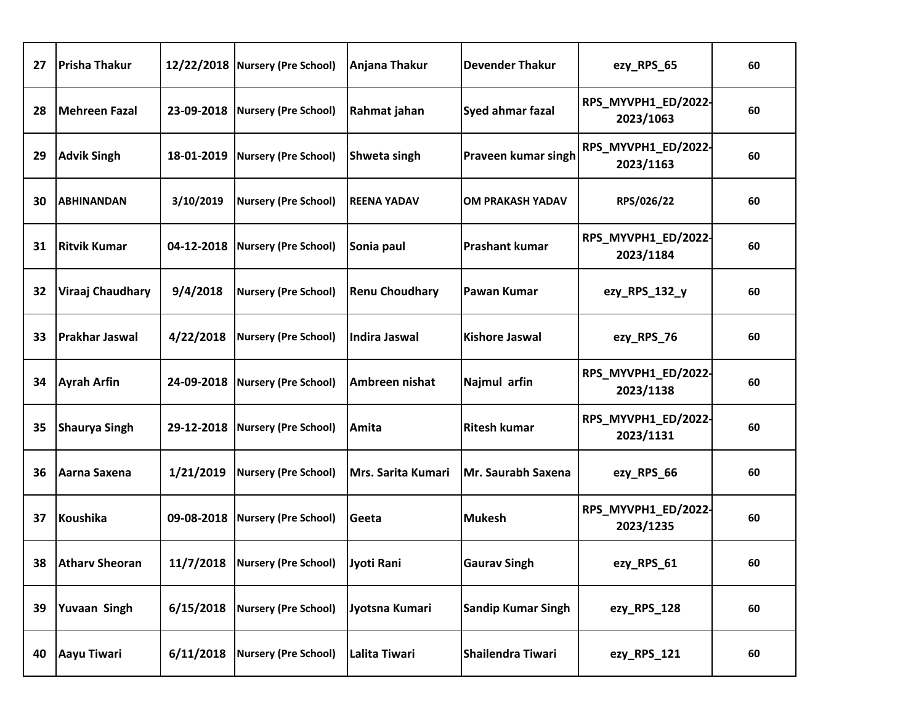| 27 | <b>Prisha Thakur</b>    |            | 12/22/2018 Nursery (Pre School) | Anjana Thakur         | <b>Devender Thakur</b>  | ezy_RPS_65                       | 60 |
|----|-------------------------|------------|---------------------------------|-----------------------|-------------------------|----------------------------------|----|
| 28 | <b>Mehreen Fazal</b>    | 23-09-2018 | <b>Nursery (Pre School)</b>     | Rahmat jahan          | <b>Syed ahmar fazal</b> | RPS_MYVPH1_ED/2022-<br>2023/1063 | 60 |
| 29 | <b>Advik Singh</b>      | 18-01-2019 | <b>Nursery (Pre School)</b>     | Shweta singh          | Praveen kumar singh     | RPS_MYVPH1_ED/2022-<br>2023/1163 | 60 |
| 30 | <b>ABHINANDAN</b>       | 3/10/2019  | <b>Nursery (Pre School)</b>     | <b>REENA YADAV</b>    | <b>OM PRAKASH YADAV</b> | RPS/026/22                       | 60 |
| 31 | <b>Ritvik Kumar</b>     | 04-12-2018 | <b>Nursery (Pre School)</b>     | Sonia paul            | <b>Prashant kumar</b>   | RPS_MYVPH1_ED/2022-<br>2023/1184 | 60 |
| 32 | <b>Viraaj Chaudhary</b> | 9/4/2018   | <b>Nursery (Pre School)</b>     | <b>Renu Choudhary</b> | Pawan Kumar             | ezy_RPS_132_y                    | 60 |
| 33 | <b>Prakhar Jaswal</b>   | 4/22/2018  | <b>Nursery (Pre School)</b>     | Indira Jaswal         | <b>Kishore Jaswal</b>   | ezy_RPS_76                       | 60 |
| 34 | <b>Ayrah Arfin</b>      | 24-09-2018 | <b>Nursery (Pre School)</b>     | Ambreen nishat        | Najmul arfin            | RPS_MYVPH1_ED/2022-<br>2023/1138 | 60 |
| 35 | <b>Shaurya Singh</b>    | 29-12-2018 | <b>Nursery (Pre School)</b>     | Amita                 | <b>Ritesh kumar</b>     | RPS_MYVPH1_ED/2022-<br>2023/1131 | 60 |
| 36 | Aarna Saxena            | 1/21/2019  | <b>Nursery (Pre School)</b>     | Mrs. Sarita Kumari    | Mr. Saurabh Saxena      | ezy_RPS_66                       | 60 |
| 37 | <b>Koushika</b>         | 09-08-2018 | <b>Nursery (Pre School)</b>     | Geeta                 | <b>Mukesh</b>           | RPS_MYVPH1_ED/2022-<br>2023/1235 | 60 |
|    | 38 Atharv Sheoran       | 11/7/2018  | <b>Nursery (Pre School)</b>     | Jyoti Rani            | <b>Gaurav Singh</b>     | ezy_RPS_61                       | 60 |
| 39 | <b>Yuvaan Singh</b>     | 6/15/2018  | <b>Nursery (Pre School)</b>     | Jyotsna Kumari        | Sandip Kumar Singh      | ezy_RPS_128                      | 60 |
| 40 | Aayu Tiwari             | 6/11/2018  | <b>Nursery (Pre School)</b>     | Lalita Tiwari         | Shailendra Tiwari       | ezy_RPS_121                      | 60 |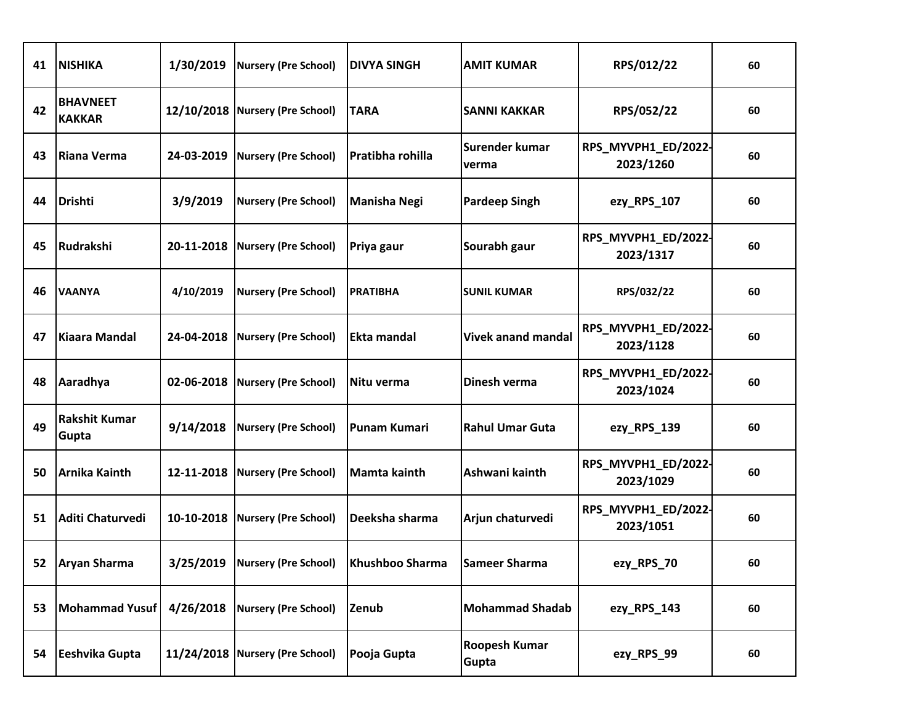| 41 | <b>NISHIKA</b>                   | 1/30/2019  | <b>Nursery (Pre School)</b>     | <b>DIVYA SINGH</b>  | <b>AMIT KUMAR</b>             | RPS/012/22                       | 60 |
|----|----------------------------------|------------|---------------------------------|---------------------|-------------------------------|----------------------------------|----|
| 42 | <b>BHAVNEET</b><br><b>KAKKAR</b> |            | 12/10/2018 Nursery (Pre School) | <b>TARA</b>         | <b>SANNI KAKKAR</b>           | RPS/052/22                       | 60 |
| 43 | Riana Verma                      | 24-03-2019 | <b>Nursery (Pre School)</b>     | Pratibha rohilla    | Surender kumar<br>verma       | RPS_MYVPH1_ED/2022-<br>2023/1260 | 60 |
| 44 | <b>Drishti</b>                   | 3/9/2019   | Nursery (Pre School)            | Manisha Negi        | <b>Pardeep Singh</b>          | ezy_RPS_107                      | 60 |
| 45 | Rudrakshi                        | 20-11-2018 | Nursery (Pre School)            | Priya gaur          | Sourabh gaur                  | RPS_MYVPH1_ED/2022-<br>2023/1317 | 60 |
| 46 | <b>VAANYA</b>                    | 4/10/2019  | Nursery (Pre School)            | <b>PRATIBHA</b>     | <b>SUNIL KUMAR</b>            | RPS/032/22                       | 60 |
| 47 | <b>Kiaara Mandal</b>             | 24-04-2018 | Nursery (Pre School)            | <b>IEkta mandal</b> | <b>Vivek anand mandal</b>     | RPS_MYVPH1_ED/2022-<br>2023/1128 | 60 |
| 48 | Aaradhya                         | 02-06-2018 | <b>Nursery (Pre School)</b>     | <b>Nitu verma</b>   | Dinesh verma                  | RPS_MYVPH1_ED/2022-<br>2023/1024 | 60 |
| 49 | <b>Rakshit Kumar</b><br>Gupta    | 9/14/2018  | Nursery (Pre School)            | Punam Kumari        | <b>Rahul Umar Guta</b>        | ezy_RPS_139                      | 60 |
| 50 | <b>Arnika Kainth</b>             | 12-11-2018 | <b>Nursery (Pre School)</b>     | Mamta kainth        | Ashwani kainth                | RPS_MYVPH1_ED/2022-<br>2023/1029 | 60 |
| 51 | <b>Aditi Chaturvedi</b>          | 10-10-2018 | <b>Nursery (Pre School)</b>     | Deeksha sharma      | Arjun chaturvedi              | RPS_MYVPH1_ED/2022-<br>2023/1051 | 60 |
|    | 52   Aryan Sharma                | 3/25/2019  | Nursery (Pre School)            | Khushboo Sharma     | Sameer Sharma                 | ezy_RPS_70                       | 60 |
| 53 | <b>Mohammad Yusuf</b>            | 4/26/2018  | Nursery (Pre School)            | Zenub               | <b>Mohammad Shadab</b>        | ezy_RPS_143                      | 60 |
| 54 | Eeshvika Gupta                   |            | 11/24/2018 Nursery (Pre School) | Pooja Gupta         | <b>Roopesh Kumar</b><br>Gupta | ezy_RPS_99                       | 60 |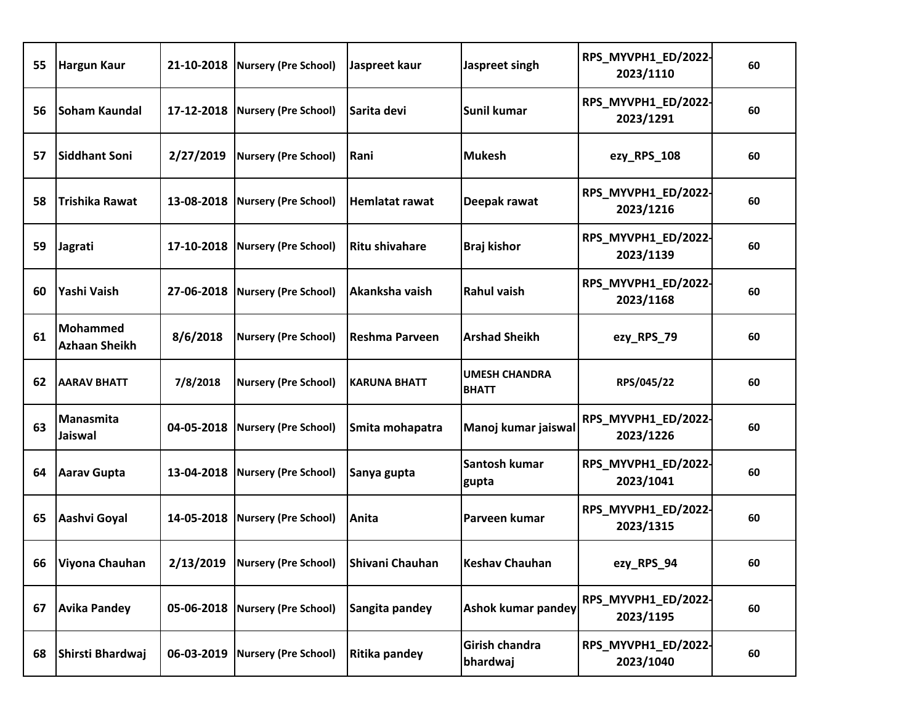| 55 | Hargun Kaur                             | 21-10-2018 | <b>Nursery (Pre School)</b> | Jaspreet kaur         | Jaspreet singh                       | RPS_MYVPH1_ED/2022-<br>2023/1110 | 60 |
|----|-----------------------------------------|------------|-----------------------------|-----------------------|--------------------------------------|----------------------------------|----|
| 56 | Soham Kaundal                           | 17-12-2018 | Nursery (Pre School)        | Sarita devi           | Sunil kumar                          | RPS_MYVPH1_ED/2022-<br>2023/1291 | 60 |
| 57 | <b>Siddhant Soni</b>                    | 2/27/2019  | <b>Nursery (Pre School)</b> | Rani                  | <b>Mukesh</b>                        | ezy_RPS_108                      | 60 |
| 58 | Trishika Rawat                          | 13-08-2018 | <b>Nursery (Pre School)</b> | <b>Hemlatat rawat</b> | Deepak rawat                         | RPS_MYVPH1_ED/2022-<br>2023/1216 | 60 |
| 59 | Jagrati                                 | 17-10-2018 | Nursery (Pre School)        | <b>Ritu shivahare</b> | <b>Braj kishor</b>                   | RPS_MYVPH1_ED/2022-<br>2023/1139 | 60 |
| 60 | Yashi Vaish                             | 27-06-2018 | <b>Nursery (Pre School)</b> | Akanksha vaish        | <b>Rahul vaish</b>                   | RPS_MYVPH1_ED/2022-<br>2023/1168 | 60 |
| 61 | <b>Mohammed</b><br><b>Azhaan Sheikh</b> | 8/6/2018   | <b>Nursery (Pre School)</b> | <b>Reshma Parveen</b> | <b>Arshad Sheikh</b>                 | ezy_RPS_79                       | 60 |
| 62 | <b>AARAV BHATT</b>                      | 7/8/2018   | <b>Nursery (Pre School)</b> | <b>KARUNA BHATT</b>   | <b>UMESH CHANDRA</b><br><b>BHATT</b> | RPS/045/22                       | 60 |
| 63 | Manasmita<br>Jaiswal                    | 04-05-2018 | Nursery (Pre School)        | Smita mohapatra       | Manoj kumar jaiswal                  | RPS_MYVPH1_ED/2022-<br>2023/1226 | 60 |
| 64 | <b>Aarav Gupta</b>                      | 13-04-2018 | <b>Nursery (Pre School)</b> | Sanya gupta           | Santosh kumar<br>gupta               | RPS_MYVPH1_ED/2022-<br>2023/1041 | 60 |
| 65 | Aashvi Goyal                            | 14-05-2018 | <b>Nursery (Pre School)</b> | Anita                 | Parveen kumar                        | RPS_MYVPH1_ED/2022-<br>2023/1315 | 60 |
|    | 66 Viyona Chauhan                       | 2/13/2019  | Nursery (Pre School)        | Shivani Chauhan       | <b>Keshav Chauhan</b>                | ezy_RPS_94                       | 60 |
| 67 | <b>Avika Pandey</b>                     | 05-06-2018 | Nursery (Pre School)        | Sangita pandey        | <b>Ashok kumar pandey</b>            | RPS_MYVPH1_ED/2022-<br>2023/1195 | 60 |
| 68 | Shirsti Bhardwaj                        | 06-03-2019 | <b>Nursery (Pre School)</b> | Ritika pandey         | Girish chandra<br>bhardwaj           | RPS_MYVPH1_ED/2022-<br>2023/1040 | 60 |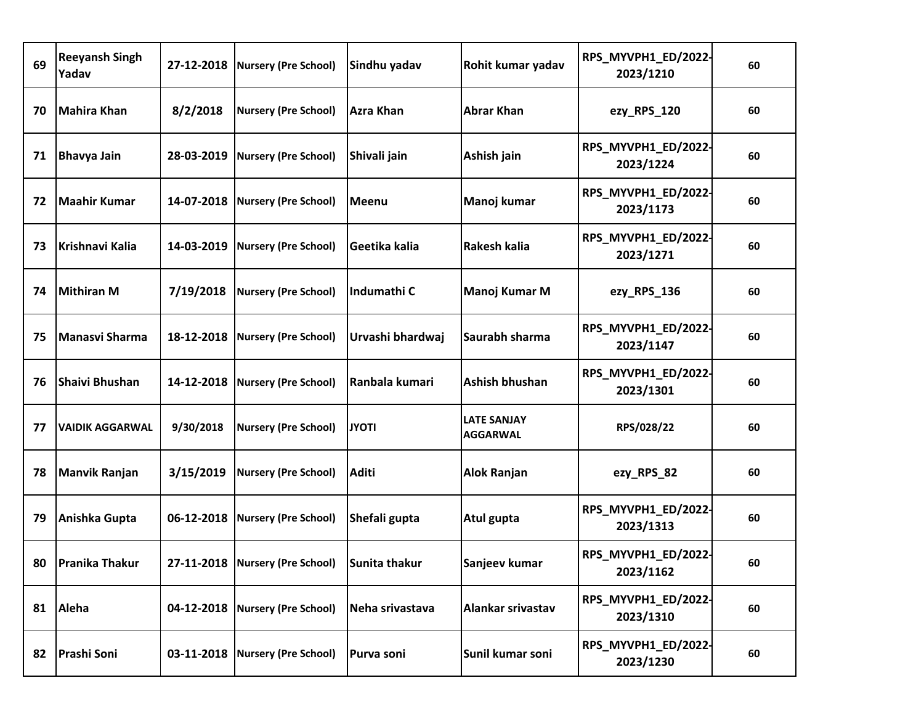| 69 | <b>Reeyansh Singh</b><br>Yadav | 27-12-2018 | <b>Nursery (Pre School)</b>       | Sindhu yadav     | Rohit kumar yadav                     | RPS_MYVPH1_ED/2022-<br>2023/1210 | 60 |
|----|--------------------------------|------------|-----------------------------------|------------------|---------------------------------------|----------------------------------|----|
| 70 | Mahira Khan                    | 8/2/2018   | <b>Nursery (Pre School)</b>       | <b>Azra Khan</b> | <b>Abrar Khan</b>                     | ezy_RPS_120                      | 60 |
| 71 | <b>Bhavya Jain</b>             | 28-03-2019 | <b>Nursery (Pre School)</b>       | Shivali jain     | Ashish jain                           | RPS_MYVPH1_ED/2022-<br>2023/1224 | 60 |
| 72 | Maahir Kumar                   | 14-07-2018 | <b>Nursery (Pre School)</b>       | <b>Meenu</b>     | Manoj kumar                           | RPS_MYVPH1_ED/2022-<br>2023/1173 | 60 |
| 73 | Krishnavi Kalia                | 14-03-2019 | Nursery (Pre School)              | Geetika kalia    | Rakesh kalia                          | RPS_MYVPH1_ED/2022-<br>2023/1271 | 60 |
| 74 | <b>Mithiran M</b>              | 7/19/2018  | <b>Nursery (Pre School)</b>       | Indumathi C      | Manoj Kumar M                         | ezy_RPS_136                      | 60 |
| 75 | <b>Manasvi Sharma</b>          |            | 18-12-2018   Nursery (Pre School) | Urvashi bhardwaj | <b>Saurabh sharma</b>                 | RPS_MYVPH1_ED/2022-<br>2023/1147 | 60 |
| 76 | <b>Shaivi Bhushan</b>          | 14-12-2018 | <b>Nursery (Pre School)</b>       | Ranbala kumari   | Ashish bhushan                        | RPS_MYVPH1_ED/2022-<br>2023/1301 | 60 |
| 77 | <b>VAIDIK AGGARWAL</b>         | 9/30/2018  | <b>Nursery (Pre School)</b>       | <b>JYOTI</b>     | <b>LATE SANJAY</b><br><b>AGGARWAL</b> | RPS/028/22                       | 60 |
| 78 | <b>Manvik Ranjan</b>           | 3/15/2019  | <b>Nursery (Pre School)</b>       | <b>Aditi</b>     | <b>Alok Ranjan</b>                    | ezy_RPS_82                       | 60 |
| 79 | Anishka Gupta                  |            | 06-12-2018   Nursery (Pre School) | Shefali gupta    | Atul gupta                            | RPS_MYVPH1_ED/2022-<br>2023/1313 | 60 |
|    | 80 Pranika Thakur              |            | 27-11-2018   Nursery (Pre School) | Sunita thakur    | Sanjeev kumar                         | RPS_MYVPH1_ED/2022-<br>2023/1162 | 60 |
|    | 81 Aleha                       |            | 04-12-2018 Nursery (Pre School)   | Neha srivastava  | Alankar srivastav                     | RPS_MYVPH1_ED/2022-<br>2023/1310 | 60 |
| 82 | <b>Prashi Soni</b>             | 03-11-2018 | Nursery (Pre School)              | Purva soni       | Sunil kumar soni                      | RPS_MYVPH1_ED/2022-<br>2023/1230 | 60 |